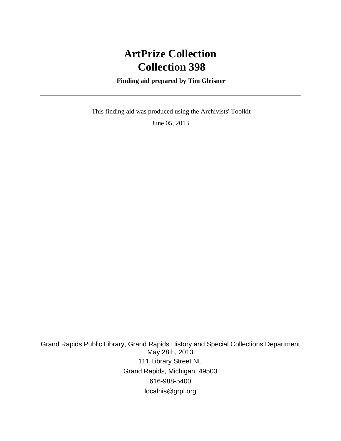# **ArtPrize Collection Collection 398**

 **Finding aid prepared by Tim Gleisner**

 This finding aid was produced using the Archivists' Toolkit June 05, 2013

Grand Rapids Public Library, Grand Rapids History and Special Collections Department May 28th, 2013 111 Library Street NE Grand Rapids, Michigan, 49503 616-988-5400 localhis@grpl.org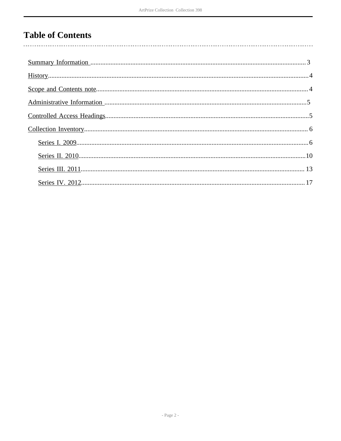## **Table of Contents**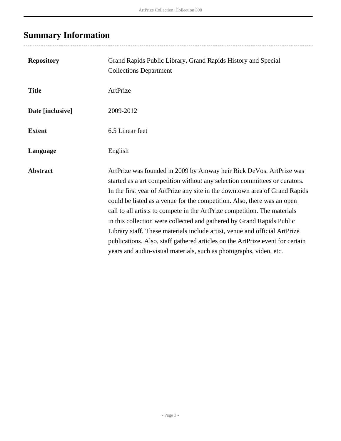# <span id="page-2-0"></span>**Summary Information**

| <b>Repository</b> | Grand Rapids Public Library, Grand Rapids History and Special<br><b>Collections Department</b>                                                                                                                                                                                                                                                                                                                                                                                                                                                                                                                                                                                                         |
|-------------------|--------------------------------------------------------------------------------------------------------------------------------------------------------------------------------------------------------------------------------------------------------------------------------------------------------------------------------------------------------------------------------------------------------------------------------------------------------------------------------------------------------------------------------------------------------------------------------------------------------------------------------------------------------------------------------------------------------|
| <b>Title</b>      | ArtPrize                                                                                                                                                                                                                                                                                                                                                                                                                                                                                                                                                                                                                                                                                               |
| Date [inclusive]  | 2009-2012                                                                                                                                                                                                                                                                                                                                                                                                                                                                                                                                                                                                                                                                                              |
| <b>Extent</b>     | 6.5 Linear feet                                                                                                                                                                                                                                                                                                                                                                                                                                                                                                                                                                                                                                                                                        |
| Language          | English                                                                                                                                                                                                                                                                                                                                                                                                                                                                                                                                                                                                                                                                                                |
| <b>Abstract</b>   | ArtPrize was founded in 2009 by Amway heir Rick DeVos. ArtPrize was<br>started as a art competition without any selection committees or curators.<br>In the first year of ArtPrize any site in the downtown area of Grand Rapids<br>could be listed as a venue for the competition. Also, there was an open<br>call to all artists to compete in the ArtPrize competition. The materials<br>in this collection were collected and gathered by Grand Rapids Public<br>Library staff. These materials include artist, venue and official ArtPrize<br>publications. Also, staff gathered articles on the ArtPrize event for certain<br>years and audio-visual materials, such as photographs, video, etc. |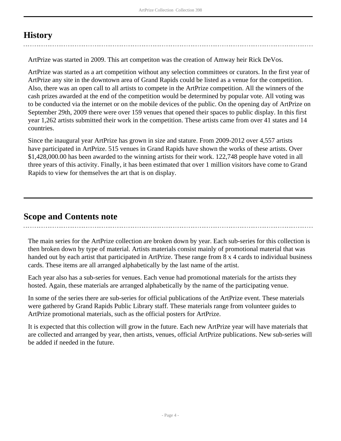## <span id="page-3-0"></span>**History**

ArtPrize was started in 2009. This art competiton was the creation of Amway heir Rick DeVos.

ArtPrize was started as a art competition without any selection committees or curators. In the first year of ArtPrize any site in the downtown area of Grand Rapids could be listed as a venue for the competition. Also, there was an open call to all artists to compete in the ArtPrize competition. All the winners of the cash prizes awarded at the end of the competition would be determined by popular vote. All voting was to be conducted via the internet or on the mobile devices of the public. On the opening day of ArtPrize on September 29th, 2009 there were over 159 venues that opened their spaces to public display. In this first year 1,262 artists submitted their work in the competition. These artists came from over 41 states and 14 countries.

Since the inaugural year ArtPrize has grown in size and stature. From 2009-2012 over 4,557 artists have participated in ArtPrize. 515 venues in Grand Rapids have shown the works of these artists. Over \$1,428,000.00 has been awarded to the winning artists for their work. 122,748 people have voted in all three years of this activity. Finally, it has been estimated that over 1 million visitors have come to Grand Rapids to view for themselves the art that is on display.

### <span id="page-3-1"></span>**Scope and Contents note**

The main series for the ArtPrize collection are broken down by year. Each sub-series for this collection is then broken down by type of material. Artists materials consist mainly of promotional material that was handed out by each artist that participated in ArtPrize. These range from 8 x 4 cards to individual business cards. These items are all arranged alphabetically by the last name of the artist.

Each year also has a sub-series for venues. Each venue had promotional materials for the artists they hosted. Again, these materials are arranged alphabetically by the name of the participating venue.

In some of the series there are sub-series for official publications of the ArtPrize event. These materials were gathered by Grand Rapids Public Library staff. These materials range from volunteer guides to ArtPrize promotional materials, such as the official posters for ArtPrize.

It is expected that this collection will grow in the future. Each new ArtPrize year will have materials that are collected and arranged by year, then artists, venues, official ArtPrize publications. New sub-series will be added if needed in the future.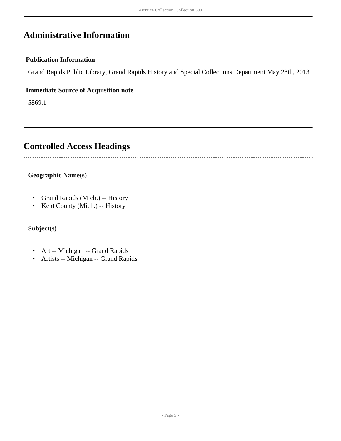## <span id="page-4-0"></span>**Administrative Information**

#### **Publication Information**

Grand Rapids Public Library, Grand Rapids History and Special Collections Department May 28th, 2013

#### **Immediate Source of Acquisition note**

5869.1

## <span id="page-4-1"></span>**Controlled Access Headings**

#### **Geographic Name(s)**

- Grand Rapids (Mich.) -- History
- Kent County (Mich.) -- History

#### **Subject(s)**

- Art -- Michigan -- Grand Rapids
- Artists -- Michigan -- Grand Rapids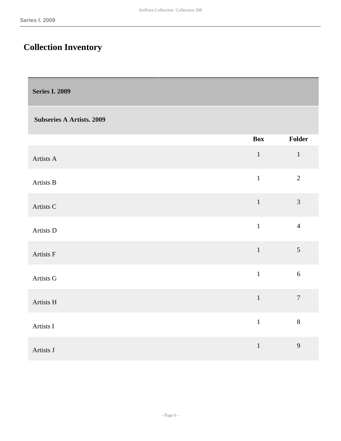## <span id="page-5-0"></span>**Collection Inventory**

<span id="page-5-1"></span>

| <b>Series I. 2009</b>            |              |                  |
|----------------------------------|--------------|------------------|
| <b>Subseries A Artists. 2009</b> |              |                  |
|                                  | <b>Box</b>   | Folder           |
| Artists A                        | $\,1\,$      | $\mathbf 1$      |
| Artists B                        | $\mathbf{1}$ | $\overline{2}$   |
| Artists C                        | $\mathbf 1$  | $\mathfrak{Z}$   |
| Artists D                        | $\mathbf{1}$ | $\overline{4}$   |
| Artists F                        | $\mathbf{1}$ | 5                |
| Artists G                        | $\mathbf{1}$ | $\sqrt{6}$       |
| Artists H                        | $\mathbf 1$  | $\boldsymbol{7}$ |
| Artists I                        | $\mathbf{1}$ | $\,8\,$          |
| Artists J                        | $\,1$        | $\overline{9}$   |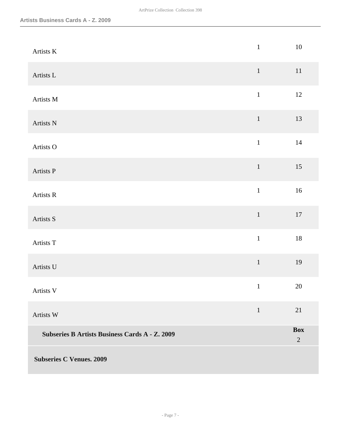| Artists K                                             | $1\,$        | $10\,$                       |
|-------------------------------------------------------|--------------|------------------------------|
| Artists L                                             | $\mathbf{1}$ | $11\,$                       |
| Artists M                                             | $1\,$        | $12\,$                       |
| Artists N                                             | $1\,$        | 13                           |
| Artists O                                             | $\mathbf 1$  | $14\,$                       |
| Artists P                                             | $\mathbf 1$  | 15                           |
| Artists R                                             | $\mathbf 1$  | $16\,$                       |
| Artists S                                             | $\,1\,$      | $17\,$                       |
| Artists T                                             | $\mathbf 1$  | $18\,$                       |
| Artists U                                             | $\,1\,$      | 19                           |
| Artists V                                             | $\mathbf 1$  | 20                           |
| Artists W                                             | $\mathbf{1}$ | 21                           |
| <b>Subseries B Artists Business Cards A - Z. 2009</b> |              | <b>Box</b><br>$\overline{2}$ |
| <b>Subseries C Venues. 2009</b>                       |              |                              |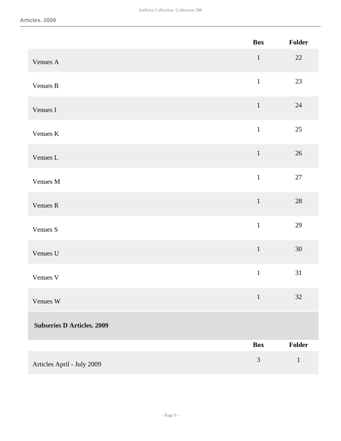|                                   | <b>Box</b>   | Folder       |
|-----------------------------------|--------------|--------------|
| Venues A                          | $\mathbf{1}$ | $22\,$       |
| Venues B                          | $\mathbf 1$  | 23           |
| Venues I                          | $\mathbf 1$  | $24\,$       |
| Venues K                          | $\mathbf{1}$ | 25           |
| Venues L                          | $\mathbf 1$  | $26\,$       |
| Venues M                          | $\mathbf{1}$ | $27\,$       |
| Venues R                          | $\mathbf 1$  | $28\,$       |
| Venues S                          | $\mathbf{1}$ | 29           |
| Venues U                          | $\,1\,$      | $30\,$       |
| Venues V                          | $\mathbf{1}$ | 31           |
| Venues W                          | $\mathbf{1}$ | 32           |
| <b>Subseries D Articles. 2009</b> |              |              |
|                                   | <b>Box</b>   | Folder       |
| Articles April - July 2009        | 3            | $\mathbf{1}$ |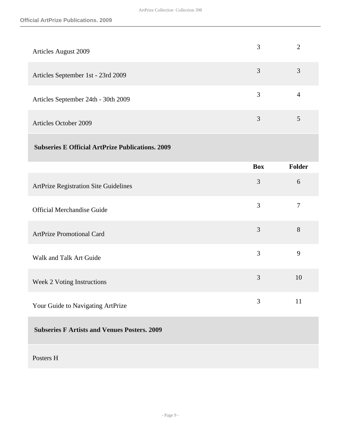| <b>Articles August 2009</b>         | 3 |   |
|-------------------------------------|---|---|
| Articles September 1st - 23rd 2009  | 3 | 3 |
| Articles September 24th - 30th 2009 | 3 | 4 |
| <b>Articles October 2009</b>        | 3 |   |

#### **Subseries E Official ArtPrize Publications. 2009**

|                                                     | <b>Box</b> | <b>Folder</b>  |
|-----------------------------------------------------|------------|----------------|
| <b>ArtPrize Registration Site Guidelines</b>        | 3          | 6              |
| <b>Official Merchandise Guide</b>                   | 3          | $\overline{7}$ |
| <b>ArtPrize Promotional Card</b>                    | 3          | 8              |
| Walk and Talk Art Guide                             | 3          | 9              |
| Week 2 Voting Instructions                          | 3          | 10             |
| Your Guide to Navigating ArtPrize                   | 3          | 11             |
| <b>Subseries F Artists and Venues Posters. 2009</b> |            |                |
|                                                     |            |                |

#### Posters H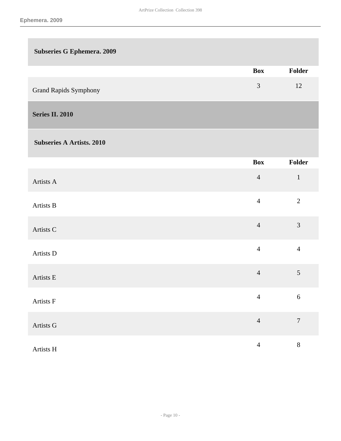<span id="page-9-0"></span>

| <b>Subseries G Ephemera. 2009</b> |                |                  |
|-----------------------------------|----------------|------------------|
|                                   | <b>Box</b>     | Folder           |
| <b>Grand Rapids Symphony</b>      | 3              | 12               |
| <b>Series II. 2010</b>            |                |                  |
| <b>Subseries A Artists. 2010</b>  |                |                  |
|                                   | <b>Box</b>     | Folder           |
| Artists A                         | $\overline{4}$ | $1\,$            |
| Artists B                         | $\overline{4}$ | $\overline{2}$   |
| Artists C                         | $\overline{4}$ | 3                |
| Artists D                         | $\overline{4}$ | $\overline{4}$   |
| Artists E                         | $\overline{4}$ | $\sqrt{5}$       |
| Artists F                         | $\overline{4}$ | $\sqrt{6}$       |
| Artists G                         | $\overline{4}$ | $\boldsymbol{7}$ |
| Artists H                         | $\overline{4}$ | $8\,$            |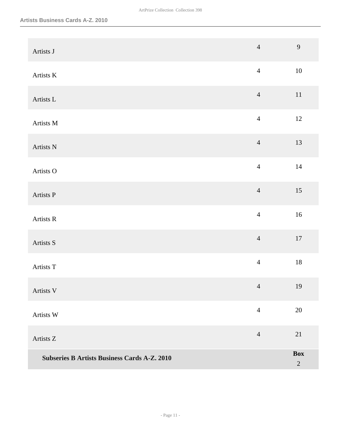| Artists J                                           | $\overline{4}$ | 9                            |
|-----------------------------------------------------|----------------|------------------------------|
| Artists K                                           | $\overline{4}$ | $10\,$                       |
| Artists L                                           | $\overline{4}$ | $11\,$                       |
| Artists M                                           | $\overline{4}$ | $12\,$                       |
| Artists N                                           | $\overline{4}$ | 13                           |
| Artists O                                           | $\overline{4}$ | $14\,$                       |
| Artists P                                           | $\overline{4}$ | 15                           |
| Artists R                                           | $\overline{4}$ | $16\,$                       |
| Artists S                                           | $\overline{4}$ | $17\,$                       |
| Artists T                                           | $\overline{4}$ | $18\,$                       |
| Artists V                                           | $\overline{4}$ | 19                           |
| Artists W                                           | $\overline{4}$ | 20                           |
| Artists Z                                           | $\overline{4}$ | 21                           |
| <b>Subseries B Artists Business Cards A-Z. 2010</b> |                | <b>Box</b><br>$\overline{2}$ |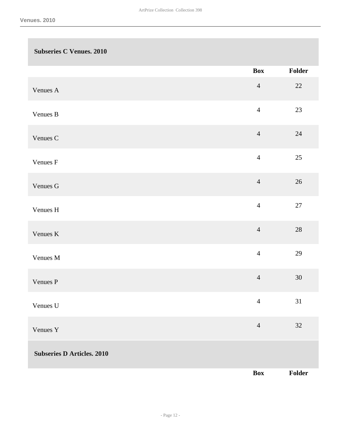| <b>Subseries C Venues. 2010</b>   |                |        |
|-----------------------------------|----------------|--------|
|                                   | <b>Box</b>     | Folder |
| Venues A                          | $\overline{4}$ | 22     |
| Venues B                          | $\overline{4}$ | 23     |
| Venues C                          | $\overline{4}$ | $24\,$ |
| Venues F                          | $\overline{4}$ | $25\,$ |
| Venues G                          | $\overline{4}$ | $26\,$ |
| Venues H                          | $\overline{4}$ | $27\,$ |
| Venues K                          | $\overline{4}$ | $28\,$ |
| Venues M                          | $\overline{4}$ | 29     |
| Venues P                          | $\overline{4}$ | $30\,$ |
| Venues U                          | $\overline{4}$ | 31     |
| Venues Y                          | $\overline{4}$ | $32\,$ |
| <b>Subseries D Articles. 2010</b> |                |        |
|                                   | <b>Box</b>     | Folder |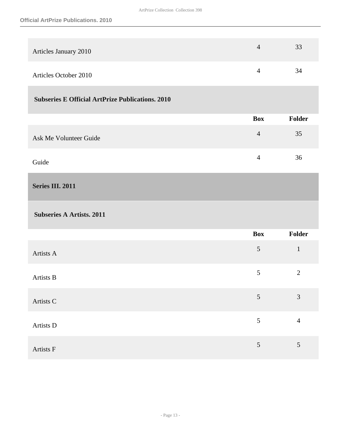| Articles January 2010        | 33 |
|------------------------------|----|
| <b>Articles October 2010</b> | 34 |

#### **Subseries E Official ArtPrize Publications. 2010**

|                        | Box       | <b>Folder</b> |
|------------------------|-----------|---------------|
| Ask Me Volunteer Guide | $\Lambda$ | 35            |
| Guide                  |           | 36            |

#### <span id="page-12-0"></span>**Series III. 2011**

#### **Subseries A Artists. 2011**

|           | Box | Folder         |
|-----------|-----|----------------|
| Artists A | 5   | $\mathbf{1}$   |
| Artists B | 5   | $\overline{2}$ |
| Artists C | 5   | $\mathfrak{Z}$ |
| Artists D | 5   | $\overline{4}$ |
| Artists F | 5   | 5              |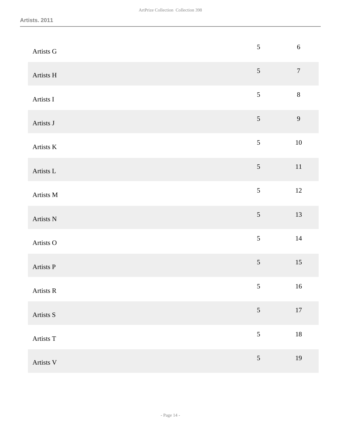| Artists G | $\sqrt{5}$     | $\sqrt{6}$ |
|-----------|----------------|------------|
| Artists H | $5\,$          | $\sqrt{ }$ |
| Artists I | $\mathfrak{S}$ | $\,8\,$    |
| Artists J | $\mathfrak{S}$ | 9          |
| Artists K | 5              | $10\,$     |
| Artists L | $\sqrt{5}$     | $11\,$     |
| Artists M | $\sqrt{5}$     | 12         |
| Artists N | $\sqrt{5}$     | 13         |
| Artists O | $\mathfrak{S}$ | $14\,$     |
| Artists P | $\mathfrak{S}$ | 15         |
| Artists R | $\sqrt{5}$     | 16         |
| Artists S | $5\,$          | $17\,$     |
| Artists T | $\sqrt{5}$     | $18\,$     |
| Artists V | $5\,$          | 19         |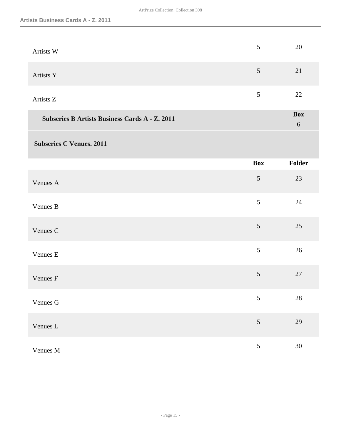| Artists W                                             | 5              | 20                       |
|-------------------------------------------------------|----------------|--------------------------|
| Artists Y                                             | 5              | 21                       |
| Artists Z                                             | $\sqrt{5}$     | 22                       |
| <b>Subseries B Artists Business Cards A - Z. 2011</b> |                | <b>Box</b><br>$\sqrt{6}$ |
| <b>Subseries C Venues. 2011</b>                       |                |                          |
|                                                       | <b>Box</b>     | Folder                   |
| Venues A                                              | $\sqrt{5}$     | 23                       |
| Venues B                                              | 5              | 24                       |
| Venues C                                              | 5              | 25                       |
| Venues E                                              | $\mathfrak{S}$ | 26                       |
| Venues F                                              | $\mathfrak{S}$ | 27                       |
| Venues G                                              | $\sqrt{5}$     | $28\,$                   |
| Venues L                                              | $\mathfrak{S}$ | 29                       |
| Venues M                                              | $\mathfrak{S}$ | 30                       |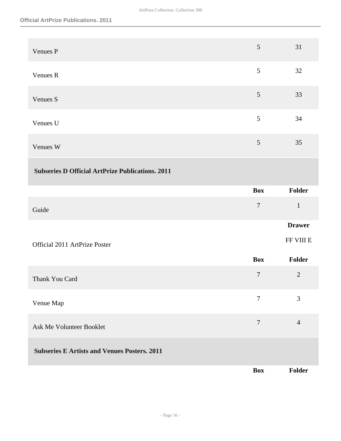| Venues P                                                | 5              | 31             |
|---------------------------------------------------------|----------------|----------------|
| Venues R                                                | 5              | 32             |
| Venues S                                                | $\mathfrak{S}$ | 33             |
| Venues U                                                | 5              | 34             |
| Venues W                                                | 5              | 35             |
| <b>Subseries D Official ArtPrize Publications. 2011</b> |                |                |
|                                                         | <b>Box</b>     | Folder         |
| Guide                                                   | $\overline{7}$ | $\mathbf{1}$   |
|                                                         |                | <b>Drawer</b>  |
| Official 2011 ArtPrize Poster                           |                | FF VIII E      |
|                                                         | <b>Box</b>     | Folder         |
| Thank You Card                                          | $\tau$         | $\overline{2}$ |
| Venue Map                                               | $\overline{7}$ | 3              |
| Ask Me Volunteer Booklet                                | $\overline{7}$ | $\overline{4}$ |
| <b>Subseries E Artists and Venues Posters. 2011</b>     |                |                |
|                                                         | <b>Box</b>     | Folder         |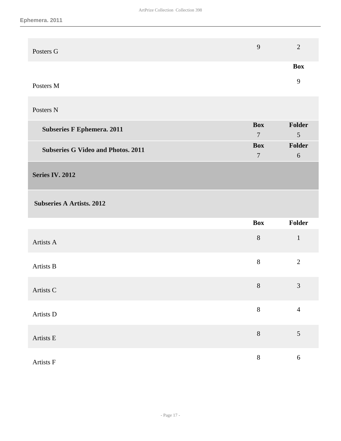| Posters G | ◠          |
|-----------|------------|
|           | <b>Box</b> |
| Posters M |            |

#### Posters N

| <b>Subseries F Ephemera. 2011</b>         | <b>Box</b> | Folder         |
|-------------------------------------------|------------|----------------|
|                                           |            | $\overline{5}$ |
| <b>Subseries G Video and Photos. 2011</b> | <b>Box</b> | Folder         |
|                                           |            | $\mathsf{h}$   |

#### <span id="page-16-0"></span>**Series IV. 2012**

 **Subseries A Artists. 2012** 

|           | <b>Box</b> | Folder           |
|-----------|------------|------------------|
| Artists A | $\, 8$     | $\mathbf{1}$     |
| Artists B | $\,8\,$    | $\overline{2}$   |
| Artists C | $8\,$      | $\mathfrak{Z}$   |
| Artists D | $8\,$      | $\overline{4}$   |
| Artists E | $\, 8$     | $\mathfrak s$    |
| Artists F | $8\,$      | $\boldsymbol{6}$ |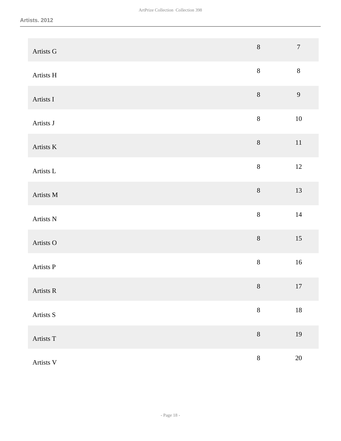| Artists G           | $8\,$           | $\boldsymbol{7}$ |
|---------------------|-----------------|------------------|
| Artists H           | $8\,$           | $8\,$            |
| Artists I           | $8\,$           | 9                |
| Artists J           | $8\,$           | $10\,$           |
| Artists $\mathbf K$ | $8\,$           | $11\,$           |
| Artists L           | $8\,$           | 12               |
| Artists M           | $8\,$           | 13               |
| Artists N           | $8\,$           | $14\,$           |
| Artists O           | $8\,$           | $15\,$           |
| Artists P           | $8\,$           | $16\,$           |
| Artists R           | $8\phantom{.}8$ | 17               |
| Artists S           | $8\,$           | $18\,$           |
| Artists T           | $8\,$           | $19\,$           |
| Artists V           | $8\,$           | $20\,$           |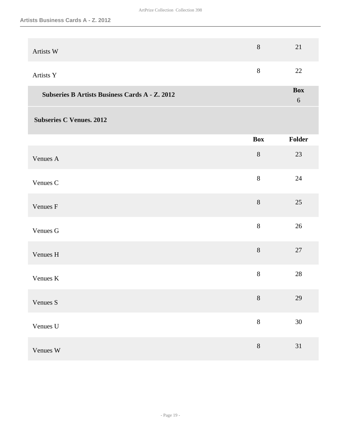| Artists W                                             | $8\,$      | 21                  |
|-------------------------------------------------------|------------|---------------------|
| Artists Y                                             | $8\,$      | 22                  |
| <b>Subseries B Artists Business Cards A - Z. 2012</b> |            | <b>Box</b><br>$6\,$ |
| <b>Subseries C Venues. 2012</b>                       |            |                     |
|                                                       | <b>Box</b> | Folder              |
| Venues A                                              | $8\,$      | 23                  |
| Venues C                                              | $8\,$      | 24                  |
| Venues F                                              | $8\,$      | 25                  |
| Venues G                                              | 8          | 26                  |
| Venues H                                              | $8\,$      | 27                  |
| Venues K                                              | $8\,$      | 28                  |
| Venues S                                              | $8\,$      | 29                  |
| Venues U                                              | $8\,$      | $30\,$              |
| Venues W                                              | $8\,$      | $31\,$              |